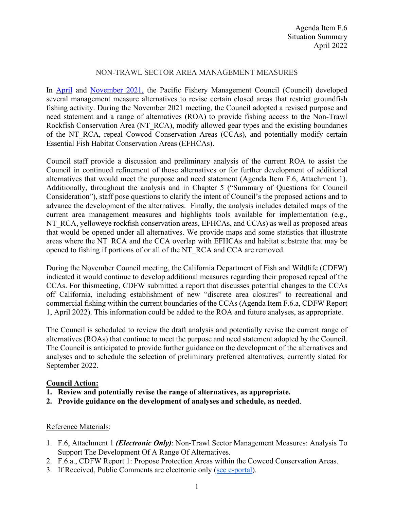## NON-TRAWL SECTOR AREA MANAGEMENT MEASURES

In [April](https://www.pcouncil.org/april-2021-decision-summary-document/#Groundfish) and [November 2021,](https://www.pcouncil.org/november-2021-decision-summary-document/#groundfish-management-toc-86dd10cf-b75a-495f-8904-085666f47642) the Pacific Fishery Management Council (Council) developed several management measure alternatives to revise certain closed areas that restrict groundfish fishing activity. During the November 2021 meeting, the Council adopted a revised purpose and need statement and a range of alternatives (ROA) to provide fishing access to the Non-Trawl Rockfish Conservation Area (NT\_RCA), modify allowed gear types and the existing boundaries of the NT\_RCA, repeal Cowcod Conservation Areas (CCAs), and potentially modify certain Essential Fish Habitat Conservation Areas (EFHCAs).

Council staff provide a discussion and preliminary analysis of the current ROA to assist the Council in continued refinement of those alternatives or for further development of additional alternatives that would meet the purpose and need statement (Agenda Item F.6, Attachment 1). Additionally, throughout the analysis and in Chapter 5 ("Summary of Questions for Council Consideration"), staff pose questions to clarify the intent of Council's the proposed actions and to advance the development of the alternatives. Finally, the analysis includes detailed maps of the current area management measures and highlights tools available for implementation (e.g., NT\_RCA, yelloweye rockfish conservation areas, EFHCAs, and CCAs) as well as proposed areas that would be opened under all alternatives. We provide maps and some statistics that illustrate areas where the NT\_RCA and the CCA overlap with EFHCAs and habitat substrate that may be opened to fishing if portions of or all of the NT\_RCA and CCA are removed.

During the November Council meeting, the California Department of Fish and Wildlife (CDFW) indicated it would continue to develop additional measures regarding their proposed repeal of the CCAs. For thismeeting, CDFW submitted a report that discusses potential changes to the CCAs off California, including establishment of new "discrete area closures" to recreational and commercial fishing within the current boundaries of the CCAs (Agenda Item F.6.a, CDFW Report 1, April 2022). This information could be added to the ROA and future analyses, as appropriate.

The Council is scheduled to review the draft analysis and potentially revise the current range of alternatives (ROAs) that continue to meet the purpose and need statement adopted by the Council. The Council is anticipated to provide further guidance on the development of the alternatives and analyses and to schedule the selection of preliminary preferred alternatives, currently slated for September 2022.

## **Council Action:**

- **1. Review and potentially revise the range of alternatives, as appropriate.**
- **2. Provide guidance on the development of analyses and schedule, as needed**.

## Reference Materials:

- 1. F.6, Attachment 1 *(Electronic Only)*: Non-Trawl Sector Management Measures: Analysis To Support The Development Of A Range Of Alternatives.
- 2. F.6.a., CDFW Report 1: Propose Protection Areas within the Cowcod Conservation Areas.
- 3. If Received, Public Comments are electronic only [\(see e-portal\)](https://pfmc.psmfc.org/).